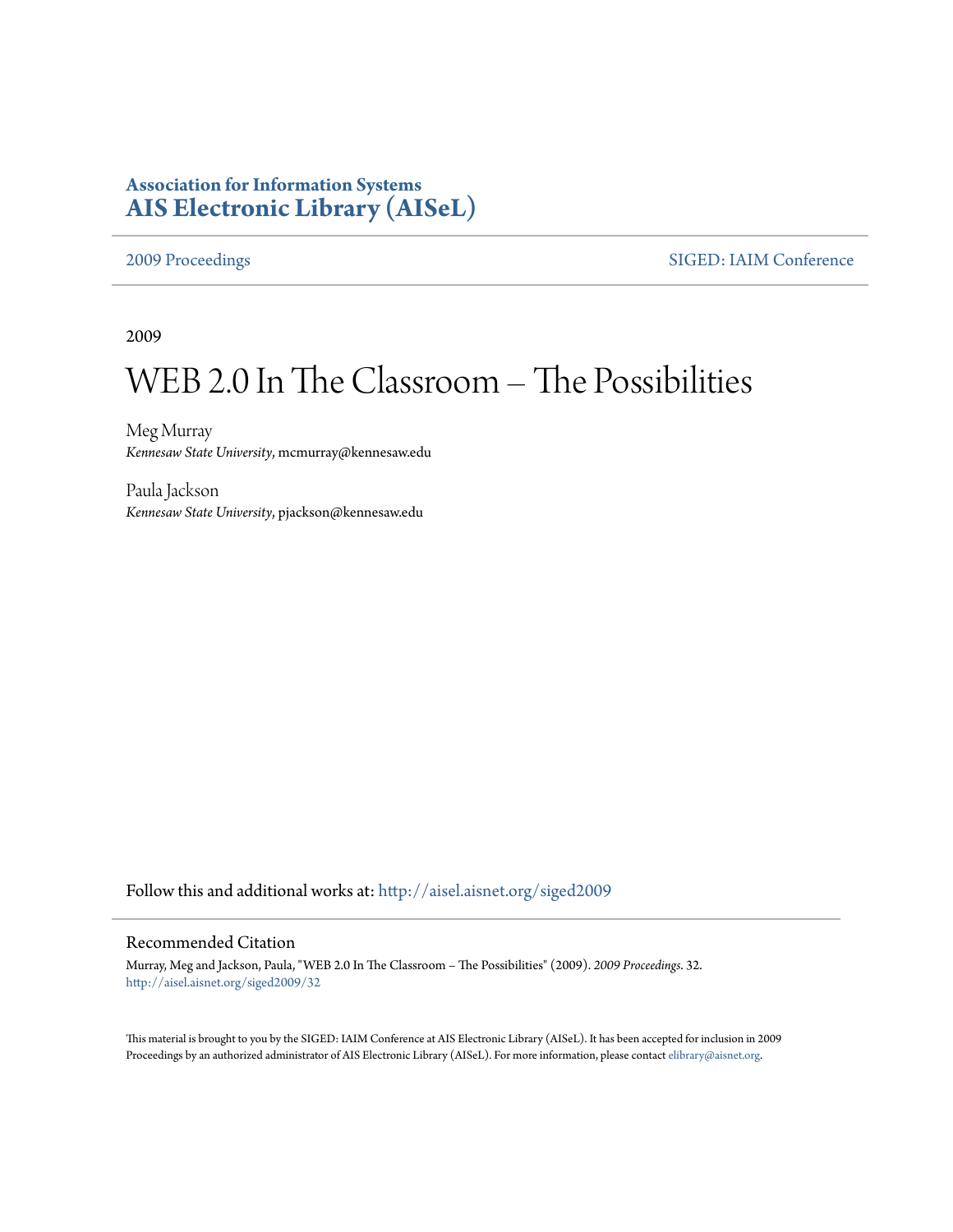## **Association for Information Systems [AIS Electronic Library \(AISeL\)](http://aisel.aisnet.org?utm_source=aisel.aisnet.org%2Fsiged2009%2F32&utm_medium=PDF&utm_campaign=PDFCoverPages)**

[2009 Proceedings](http://aisel.aisnet.org/siged2009?utm_source=aisel.aisnet.org%2Fsiged2009%2F32&utm_medium=PDF&utm_campaign=PDFCoverPages) [SIGED: IAIM Conference](http://aisel.aisnet.org/siged?utm_source=aisel.aisnet.org%2Fsiged2009%2F32&utm_medium=PDF&utm_campaign=PDFCoverPages)

2009

# WEB 2.0 In The Classroom – The Possibilities

Meg Murray *Kennesaw State University*, mcmurray@kennesaw.edu

Paula Jackson *Kennesaw State University*, pjackson@kennesaw.edu

Follow this and additional works at: [http://aisel.aisnet.org/siged2009](http://aisel.aisnet.org/siged2009?utm_source=aisel.aisnet.org%2Fsiged2009%2F32&utm_medium=PDF&utm_campaign=PDFCoverPages)

#### Recommended Citation

Murray, Meg and Jackson, Paula, "WEB 2.0 In The Classroom – The Possibilities" (2009). *2009 Proceedings*. 32. [http://aisel.aisnet.org/siged2009/32](http://aisel.aisnet.org/siged2009/32?utm_source=aisel.aisnet.org%2Fsiged2009%2F32&utm_medium=PDF&utm_campaign=PDFCoverPages)

This material is brought to you by the SIGED: IAIM Conference at AIS Electronic Library (AISeL). It has been accepted for inclusion in 2009 Proceedings by an authorized administrator of AIS Electronic Library (AISeL). For more information, please contact [elibrary@aisnet.org](mailto:elibrary@aisnet.org%3E).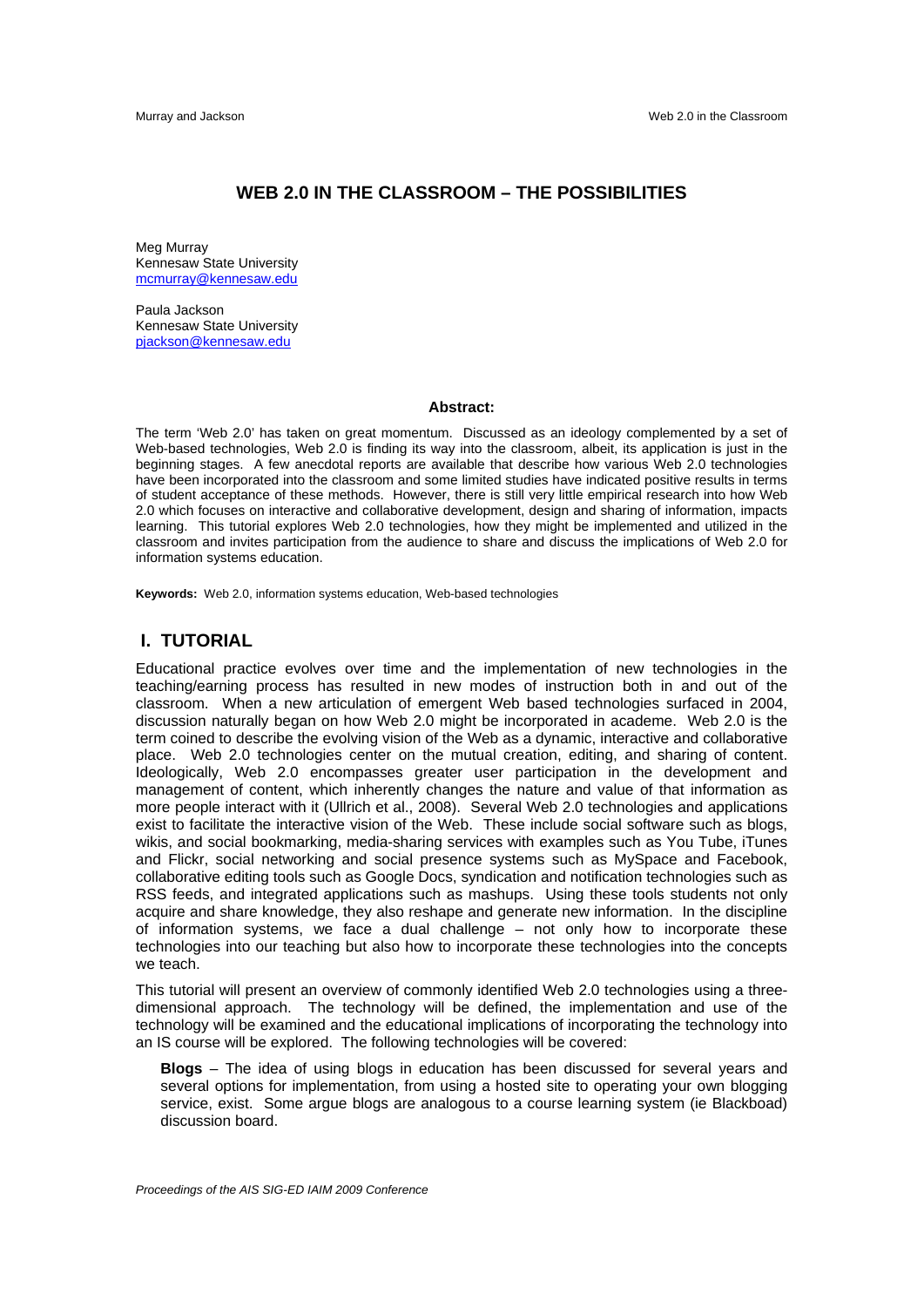#### **WEB 2.0 IN THE CLASSROOM – THE POSSIBILITIES**

Meg Murray Kennesaw State University mcmurray@kennesaw.edu

Paula Jackson Kennesaw State University pjackson@kennesaw.edu

#### **Abstract:**

The term 'Web 2.0' has taken on great momentum. Discussed as an ideology complemented by a set of Web-based technologies, Web 2.0 is finding its way into the classroom, albeit, its application is just in the beginning stages. A few anecdotal reports are available that describe how various Web 2.0 technologies have been incorporated into the classroom and some limited studies have indicated positive results in terms of student acceptance of these methods. However, there is still very little empirical research into how Web 2.0 which focuses on interactive and collaborative development, design and sharing of information, impacts learning. This tutorial explores Web 2.0 technologies, how they might be implemented and utilized in the classroom and invites participation from the audience to share and discuss the implications of Web 2.0 for information systems education.

**Keywords:** Web 2.0, information systems education, Web-based technologies

#### **I. TUTORIAL**

Educational practice evolves over time and the implementation of new technologies in the teaching/earning process has resulted in new modes of instruction both in and out of the classroom. When a new articulation of emergent Web based technologies surfaced in 2004, discussion naturally began on how Web 2.0 might be incorporated in academe. Web 2.0 is the term coined to describe the evolving vision of the Web as a dynamic, interactive and collaborative place. Web 2.0 technologies center on the mutual creation, editing, and sharing of content. Ideologically, Web 2.0 encompasses greater user participation in the development and management of content, which inherently changes the nature and value of that information as more people interact with it (Ullrich et al., 2008). Several Web 2.0 technologies and applications exist to facilitate the interactive vision of the Web. These include social software such as blogs, wikis, and social bookmarking, media-sharing services with examples such as You Tube, iTunes and Flickr, social networking and social presence systems such as MySpace and Facebook, collaborative editing tools such as Google Docs, syndication and notification technologies such as RSS feeds, and integrated applications such as mashups. Using these tools students not only acquire and share knowledge, they also reshape and generate new information. In the discipline of information systems, we face a dual challenge – not only how to incorporate these technologies into our teaching but also how to incorporate these technologies into the concepts we teach.

This tutorial will present an overview of commonly identified Web 2.0 technologies using a threedimensional approach. The technology will be defined, the implementation and use of the technology will be examined and the educational implications of incorporating the technology into an IS course will be explored. The following technologies will be covered:

**Blogs** – The idea of using blogs in education has been discussed for several years and several options for implementation, from using a hosted site to operating your own blogging service, exist. Some argue blogs are analogous to a course learning system (ie Blackboad) discussion board.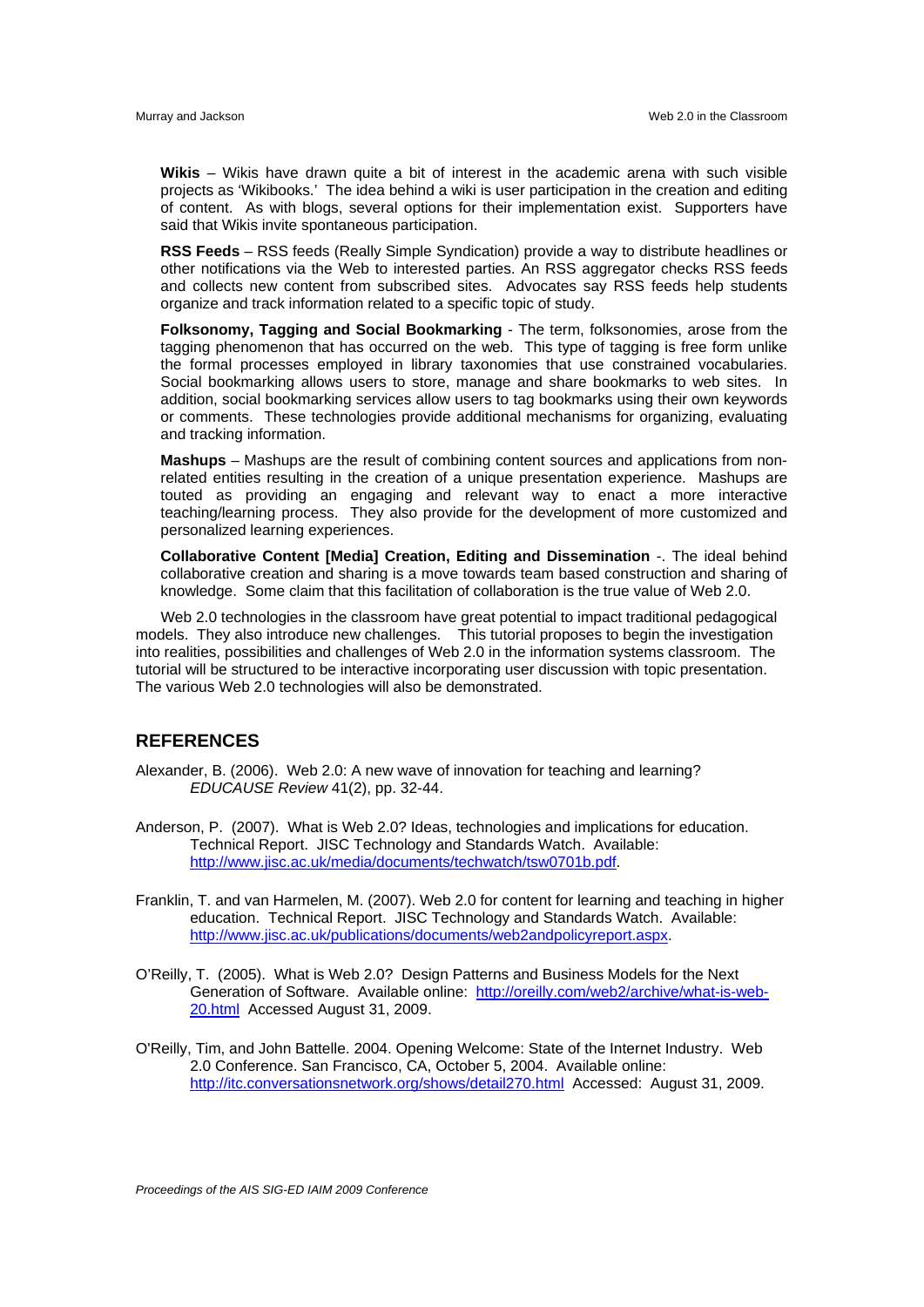**Wikis** – Wikis have drawn quite a bit of interest in the academic arena with such visible projects as 'Wikibooks.' The idea behind a wiki is user participation in the creation and editing of content. As with blogs, several options for their implementation exist. Supporters have said that Wikis invite spontaneous participation.

**RSS Feeds** – RSS feeds (Really Simple Syndication) provide a way to distribute headlines or other notifications via the Web to interested parties. An RSS aggregator checks RSS feeds and collects new content from subscribed sites. Advocates say RSS feeds help students organize and track information related to a specific topic of study.

**Folksonomy, Tagging and Social Bookmarking** - The term, folksonomies, arose from the tagging phenomenon that has occurred on the web. This type of tagging is free form unlike the formal processes employed in library taxonomies that use constrained vocabularies. Social bookmarking allows users to store, manage and share bookmarks to web sites. In addition, social bookmarking services allow users to tag bookmarks using their own keywords or comments. These technologies provide additional mechanisms for organizing, evaluating and tracking information.

**Mashups** – Mashups are the result of combining content sources and applications from nonrelated entities resulting in the creation of a unique presentation experience. Mashups are touted as providing an engaging and relevant way to enact a more interactive teaching/learning process. They also provide for the development of more customized and personalized learning experiences.

**Collaborative Content [Media] Creation, Editing and Dissemination** -. The ideal behind collaborative creation and sharing is a move towards team based construction and sharing of knowledge. Some claim that this facilitation of collaboration is the true value of Web 2.0.

Web 2.0 technologies in the classroom have great potential to impact traditional pedagogical models. They also introduce new challenges. This tutorial proposes to begin the investigation into realities, possibilities and challenges of Web 2.0 in the information systems classroom. The tutorial will be structured to be interactive incorporating user discussion with topic presentation. The various Web 2.0 technologies will also be demonstrated.

### **REFERENCES**

- Alexander, B. (2006). Web 2.0: A new wave of innovation for teaching and learning? *EDUCAUSE Review* 41(2), pp. 32-44.
- Anderson, P. (2007). What is Web 2.0? Ideas, technologies and implications for education. Technical Report. JISC Technology and Standards Watch. Available: http://www.jisc.ac.uk/media/documents/techwatch/tsw0701b.pdf.
- Franklin, T. and van Harmelen, M. (2007). Web 2.0 for content for learning and teaching in higher education. Technical Report. JISC Technology and Standards Watch. Available: http://www.jisc.ac.uk/publications/documents/web2andpolicyreport.aspx.
- O'Reilly, T. (2005). What is Web 2.0? Design Patterns and Business Models for the Next Generation of Software. Available online: http://oreilly.com/web2/archive/what-is-web-20.html Accessed August 31, 2009.
- O'Reilly, Tim, and John Battelle. 2004. Opening Welcome: State of the Internet Industry. Web 2.0 Conference. San Francisco, CA, October 5, 2004. Available online: http://itc.conversationsnetwork.org/shows/detail270.html Accessed: August 31, 2009.